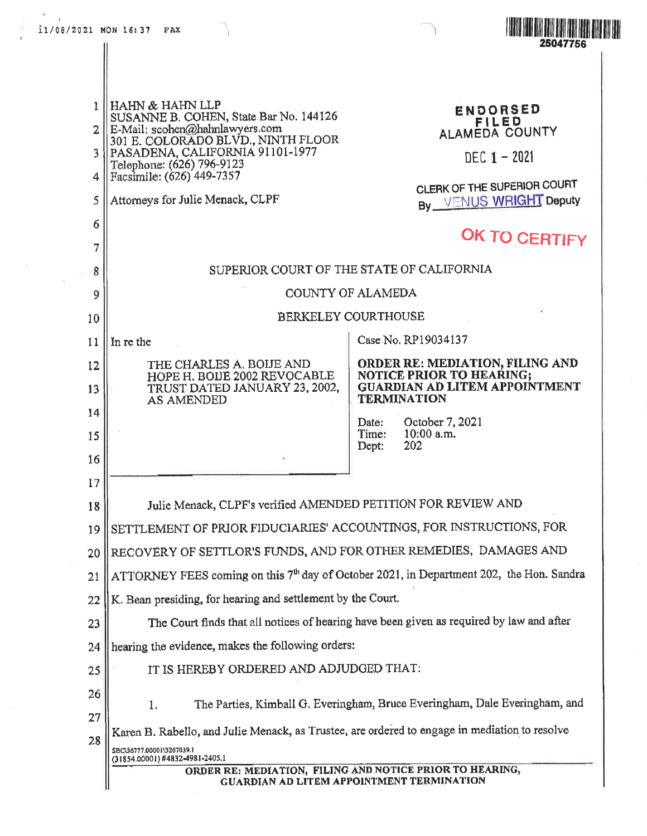

**HAHN & HAHN LLP** 1 ENDORSED SUSANNE B. COHEN, State Bar No. 144126 **FILED** E-Mail: scohen@hahnlawyers.com  $\overline{2}$ ALAMEDA COUNTY 301 E. COLORADO BLVD., NINTH FLOOR PASADENA, CALIFORNIA 91101-1977 3  $DEC-1 - 2021$ Telephone: (626) 796-9123 Facsimile: (626) 449-7357 4 CLERK OF THE SUPERIOR COURT By VENUS WRIGHT Deputy Attorneys for Julie Menack, CLPF 5 6 OK TO CERTIFY  $\overline{7}$ SUPERIOR COURT OF THE STATE OF CALIFORNIA 8 COUNTY OF ALAMEDA 9 **BERKELEY COURTHOUSE** 10 Case No. RP19034137 In re the  $11$ **ORDER RE: MEDIATION, FILING AND** THE CHARLES A. BOIJE AND  $12$ NOTICE PRIOR TO HEARING; HOPE H. BOIJE 2002 REVOCABLE **GUARDIAN AD LITEM APPOINTMENT**  $13$ TRUST DATED JANUARY 23, 2002, **AS AMENDED TERMINATION** 14 October 7, 2021 Date: 10:00 a.m. Time: 15 Dept: 202 16 17 Julie Menack, CLPF's verified AMENDED PETITION FOR REVIEW AND 18 SETTLEMENT OF PRIOR FIDUCIARIES' ACCOUNTINGS, FOR INSTRUCTIONS, FOR 19 RECOVERY OF SETTLOR'S FUNDS, AND FOR OTHER REMEDIES, DAMAGES AND 20 ATTORNEY FEES coming on this 7<sup>th</sup> day of October 2021, in Department 202, the Hon. Sandra 21 K. Bean presiding, for hearing and settlement by the Court. 22 The Court finds that all notices of hearing have been given as required by law and after 23 hearing the evidence, makes the following orders: 24 IT IS HEREBY ORDERED AND ADJUDGED THAT: 25 26 The Parties, Kimball G. Everingham, Bruce Everingham, Dale Everingham, and  $\mathbf{1}$ . 27 Karen B. Rabello, and Julie Menack, as Trustee, are ordered to engage in mediation to resolve 28 \$BC\36777.00001\3267039.1 (31854.00001) #4832-4981-2405.1 ORDER RE: MEDIATION, FILING AND NOTICE PRIOR TO HEARING, **GUARDIAN AD LITEM APPOINTMENT TERMINATION**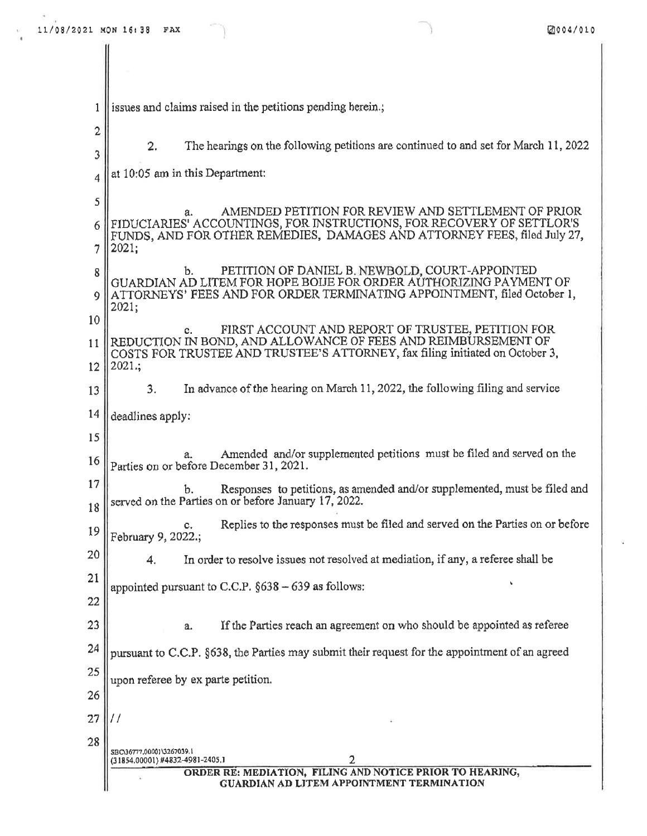$1$  || issues and claims raised in the petitions pending herein.;

| 2        |                                                                                                                                                                                                               |
|----------|---------------------------------------------------------------------------------------------------------------------------------------------------------------------------------------------------------------|
| 3        | The hearings on the following petitions are continued to and set for March 11, 2022<br>2.                                                                                                                     |
| 4        | at 10:05 am in this Department:                                                                                                                                                                               |
| 5        | AMENDED PETITION FOR REVIEW AND SETTLEMENT OF PRIOR                                                                                                                                                           |
| 6        | a.<br>FIDUCIARIES' ACCOUNTINGS, FOR INSTRUCTIONS, FOR RECOVERY OF SETTLOR'S<br>FUNDS, AND FOR OTHER REMEDIES, DAMAGES AND ATTORNEY FEES, filed July 27,                                                       |
| 7        | 2021;                                                                                                                                                                                                         |
| 8        | PETITION OF DANIEL B. NEWBOLD, COURT-APPOINTED<br>b.<br>GUARDIAN AD LITEM FOR HOPE BOIJE FOR ORDER AUTHORIZING PAYMENT OF<br>ATTORNEYS' FEES AND FOR ORDER TERMINATING APPOINTMENT, filed October 1,<br>2021; |
| 9        |                                                                                                                                                                                                               |
| 10       | FIRST ACCOUNT AND REPORT OF TRUSTEE, PETITION FOR<br>c.                                                                                                                                                       |
| 11       | REDUCTION IN BOND, AND ALLOWANCE OF FEES AND REIMBURSEMENT OF<br>COSTS FOR TRUSTEE AND TRUSTEE'S ATTORNEY, fax filing initiated on October 3,                                                                 |
| 12       | 2021:                                                                                                                                                                                                         |
| 13       | In advance of the hearing on March 11, 2022, the following filing and service<br>3.                                                                                                                           |
| 14       | deadlines apply:                                                                                                                                                                                              |
| 15       |                                                                                                                                                                                                               |
| 16       | Amended and/or supplemented petitions must be filed and served on the<br>Parties on or before December 31, 2021.                                                                                              |
| 17<br>18 | Responses to petitions, as amended and/or supplemented, must be filed and<br>b.<br>served on the Parties on or before January 17, 2022.                                                                       |
| 19       | Replies to the responses must be filed and served on the Parties on or before<br>с.<br>February 9, 2022.;                                                                                                     |
| 20       | In order to resolve issues not resolved at mediation, if any, a referee shall be<br>4.                                                                                                                        |
| 21       | appointed pursuant to C.C.P. $§$ 638 - 639 as follows:                                                                                                                                                        |
| 22       |                                                                                                                                                                                                               |
| 23       | If the Parties reach an agreement on who should be appointed as referee<br>a.                                                                                                                                 |
| 24       | pursuant to C.C.P. §638, the Parties may submit their request for the appointment of an agreed                                                                                                                |
| 25       | upon referee by ex parte petition.                                                                                                                                                                            |
| 26       |                                                                                                                                                                                                               |
| 27       | 11                                                                                                                                                                                                            |
| 28       | SBC\36777,00001\3267039.1<br>2<br>(31854.00001) #4832-4981-2405.1                                                                                                                                             |
|          | ORDER RE: MEDIATION, FILING AND NOTICE PRIOR TO HEARING,<br>GUARDIAN AD LITEM APPOINTMENT TERMINATION                                                                                                         |
|          |                                                                                                                                                                                                               |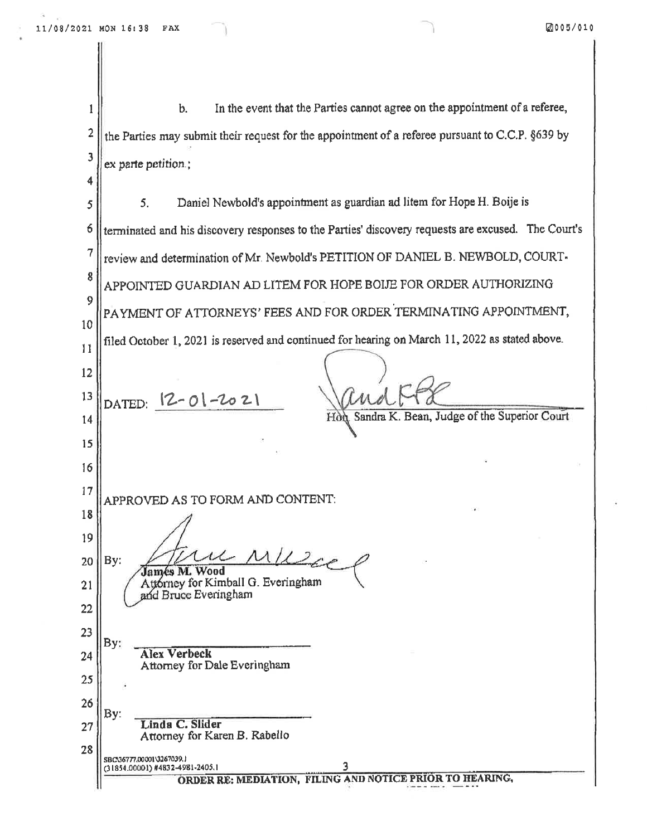In the event that the Parties cannot agree on the appointment of a referee,  $\mathbf{b}$ . 1  $\overline{2}$ the Parties may submit their request for the appointment of a referee pursuant to C.C.P. §639 by 3 ex parte petition.; 4 5. Daniel Newbold's appointment as guardian ad litem for Hope H. Boije is 5 terminated and his discovery responses to the Parties' discovery requests are excused. The Court's 6 7 review and determination of Mr. Newbold's PETITION OF DANIEL B. NEWBOLD, COURT-8 APPOINTED GUARDIAN AD LITEM FOR HOPE BOIJE FOR ORDER AUTHORIZING 9 PAYMENT OF ATTORNEYS' FEES AND FOR ORDER TERMINATING APPOINTMENT, 10 filed October 1, 2021 is reserved and continued for hearing on March 11, 2022 as stated above. 11 12 13 DATED: 12-01-2021 Sandra K. Bean, Judge of the Superior Court Hò 14 15 16 17 APPROVED AS TO FORM AND CONTENT: 18 19  $By:$ 20 **James M. Wood** Attorney for Kimball G. Everingham 21 and Bruce Everingham 22 23 By: **Alex Verbeck** 24 Attorney for Dale Everingham 25 26 By: Linda C. Slider 27 Attorney for Karen B. Rabello 28 SBC\36777.00001\3267039.) (31854.00001) #4832-4981-2405.1 ORDER RE: MEDIATION, FILING AND NOTICE PRIOR TO HEARING,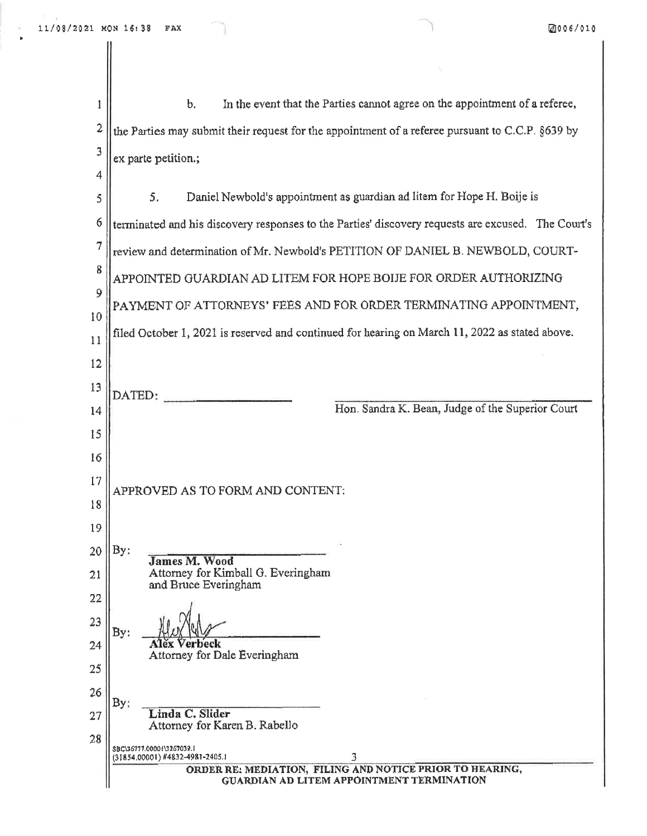$\tilde{\mathbf{A}}$ 

| 1        | In the event that the Parties cannot agree on the appointment of a referee,<br>b,                     |
|----------|-------------------------------------------------------------------------------------------------------|
| 2        | the Parties may submit their request for the appointment of a referee pursuant to C.C.P. §639 by      |
| 3        | ex parte petition.;                                                                                   |
| 4        |                                                                                                       |
| 5        | Daniel Newbold's appointment as guardian ad litem for Hope H. Boije is<br>5.                          |
| 6        | terminated and his discovery responses to the Parties' discovery requests are excused. The Court's    |
| 7        | review and determination of Mr. Newbold's PETITION OF DANIEL B. NEWBOLD, COURT-                       |
| 8        | APPOINTED GUARDIAN AD LITEM FOR HOPE BOIJE FOR ORDER AUTHORIZING                                      |
| 9        | PAYMENT OF ATTORNEYS' FEES AND FOR ORDER TERMINATING APPOINTMENT,                                     |
| 10<br>11 | filed October 1, 2021 is reserved and continued for hearing on March 11, 2022 as stated above.        |
| 12       |                                                                                                       |
| 13       |                                                                                                       |
| 14       | DATED:<br>Hon. Sandra K. Bean, Judge of the Superior Court                                            |
| 15       |                                                                                                       |
| 16       |                                                                                                       |
| 17       | APPROVED AS TO FORM AND CONTENT:                                                                      |
| 18       |                                                                                                       |
| 19       |                                                                                                       |
| 20       | By:<br><b>James M. Wood</b>                                                                           |
| 21       | Attorney for Kimball G. Everingham<br>and Bruce Everingham                                            |
| 22       |                                                                                                       |
| 23       | By:                                                                                                   |
| 24       | neck<br>Attorney for Dale Everingham                                                                  |
| 25       |                                                                                                       |
| 26       | By:<br>Linda C. Slider                                                                                |
| 27<br>28 | Attorney for Karen B. Rabello                                                                         |
|          | SBC\36777.00001\3267039.1<br>3<br>(31854,00001) #4832-4981-2405.1                                     |
|          | ORDER RE: MEDIATION, FILING AND NOTICE PRIOR TO HEARING,<br>GUARDIAN AD LITEM APPOINTMENT TERMINATION |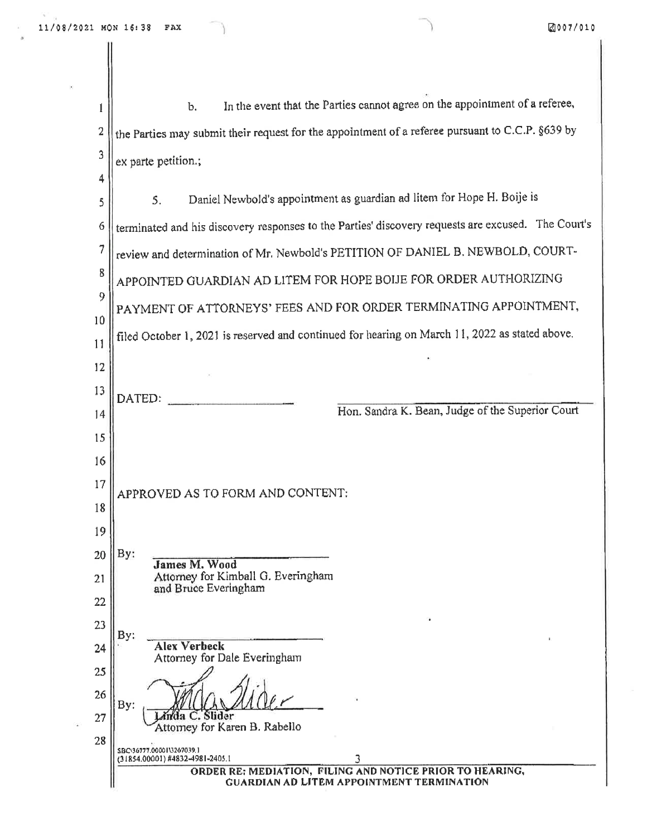X

 $\langle T \rangle$ 

 $\overline{\mathbf{a}}$ 

| 1        | In the event that the Parties cannot agree on the appointment of a referee,<br>b.                                             |
|----------|-------------------------------------------------------------------------------------------------------------------------------|
| 2        | the Parties may submit their request for the appointment of a referee pursuant to C.C.P. §639 by                              |
| 3        | ex parte petition.;                                                                                                           |
| 4        |                                                                                                                               |
| 5        | Daniel Newbold's appointment as guardian ad litem for Hope H. Boije is<br>5.                                                  |
| 6        | terminated and his discovery responses to the Parties' discovery requests are excused. The Court's                            |
| 7        | review and determination of Mr. Newbold's PETITION OF DANIEL B. NEWBOLD, COURT-                                               |
| 8        | APPOINTED GUARDIAN AD LITEM FOR HOPE BOIJE FOR ORDER AUTHORIZING                                                              |
| 9        | PAYMENT OF ATTORNEYS' FEES AND FOR ORDER TERMINATING APPOINTMENT,                                                             |
| 10<br>11 | filed October 1, 2021 is reserved and continued for hearing on March 11, 2022 as stated above.                                |
| 12       |                                                                                                                               |
| 13       |                                                                                                                               |
| 4        | DATED:<br>Hon. Sandra K. Bean, Judge of the Superior Court                                                                    |
| 15       |                                                                                                                               |
| 16       |                                                                                                                               |
| 17       | APPROVED AS TO FORM AND CONTENT:                                                                                              |
| 18       |                                                                                                                               |
| 19       |                                                                                                                               |
| 20       | By:<br><b>James M. Wood</b>                                                                                                   |
| 21       | Attorney for Kimball G. Everingham<br>and Bruce Everingham                                                                    |
| 22       |                                                                                                                               |
| 23       | By:<br><b>Alex Verbeck</b>                                                                                                    |
| 24<br>25 | Attorney for Dale Everingham                                                                                                  |
| 26       |                                                                                                                               |
| 27       | By:<br>nda C. Slider                                                                                                          |
| 28       | Attorney for Karen B. Rabello                                                                                                 |
|          | SBC\36777.00001\3267039.1<br>(31854.00001) #4832-4981-2405.1<br>3<br>ORDER RE: MEDIATION, FILING AND NOTICE PRIOR TO HEARING, |
|          | <b>GUARDIAN AD LITEM APPOINTMENT TERMINATION</b>                                                                              |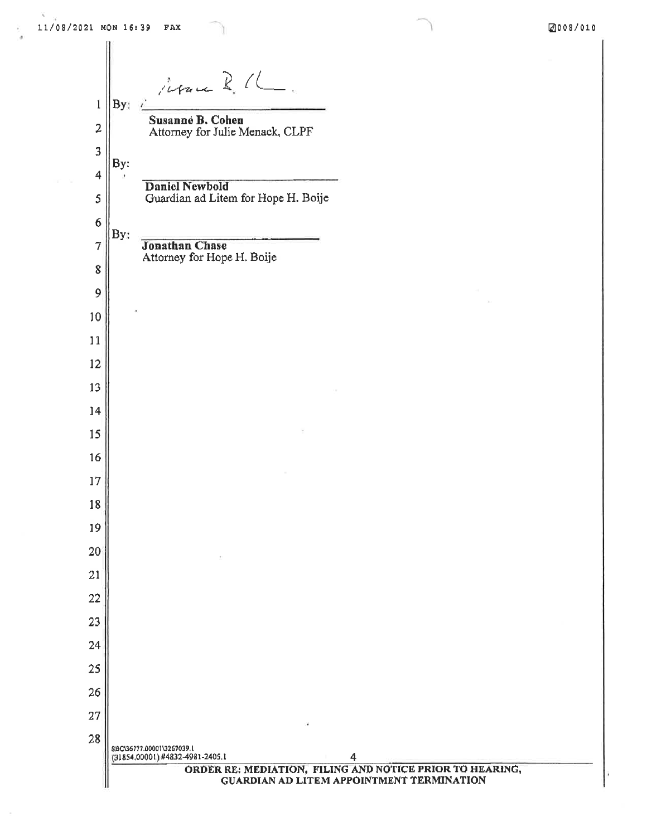Repar R. C  $\mathbf{1}$ By: Susanne B. Cohen  $\overline{2}$ Attorney for Julie Menack, CLPF  $\overline{3}$ By: 4 **Daniel Newbold** Guardian ad Litem for Hope H. Boije 5  $\boldsymbol{6}$ By:  $\overline{7}$ **Jonathan Chase** Attorney for Hope H. Boije 8 9 10  $11$ 12  $13$ 14 15 16 17 18 19 20 21 22 23 24 25 26 27 28 \$BC\36777.00001\3267039.1  $(31854,00001)$  #4832-4981-2405.1 4 ORDER RE: MEDIATION, FILING AND NOTICE PRIOR TO HEARING, GUARDIAN AD LITEM APPOINTMENT TERMINATION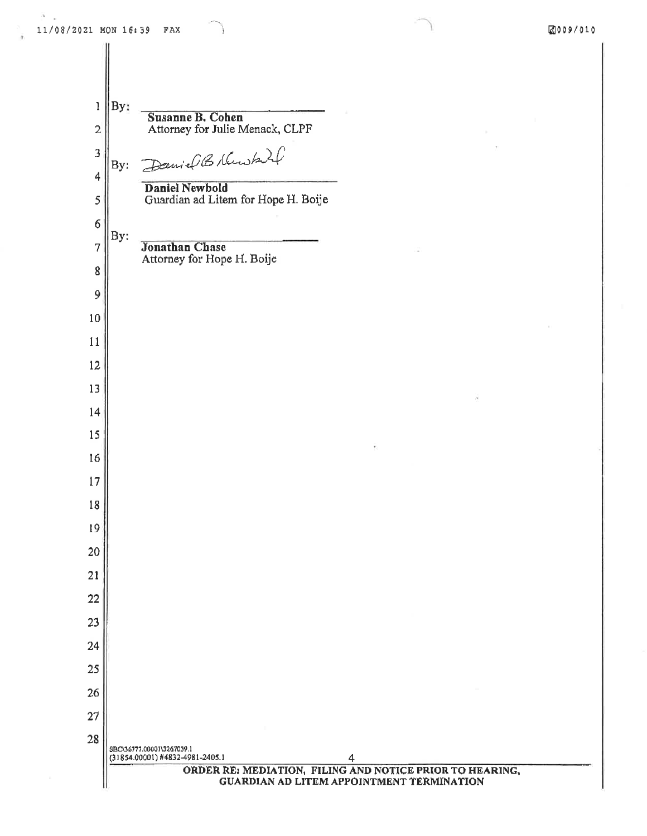$\mathbf{I}$ 

 $\overline{2}$ 

 $\overline{\mathbf{3}}$ 

4

5

6

 $\overline{7}$ 

By: Susanne B. Cohen Attorney for Julie Menack, CLPF ielBhusky By: **Daniel Newbold** Guardian ad Litem for Hope H. Boije By: **Jonathan Chase** Attorney for Hope H. Boije

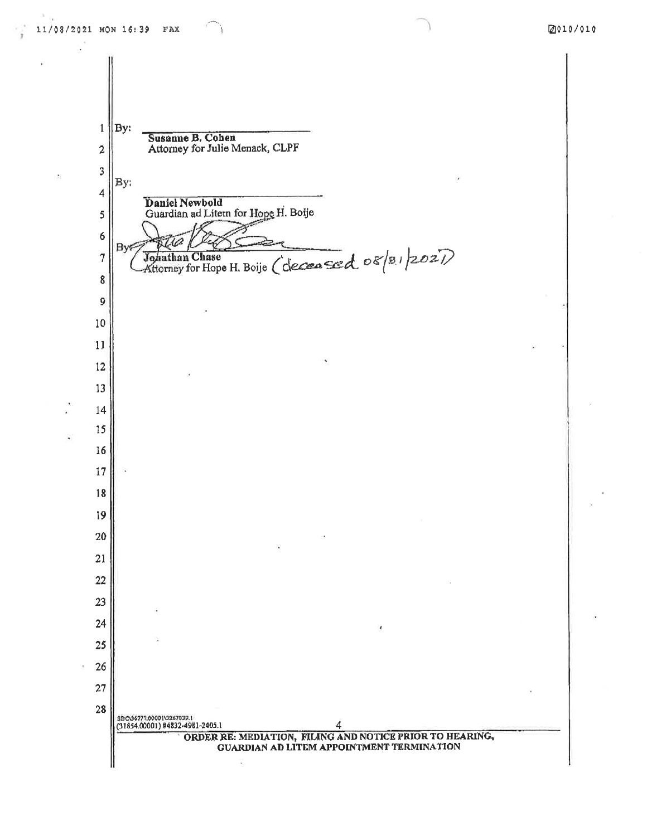

ORDER RE: MEDIATION, FILING AND NOTICE PRIOR TO HEARING, GUARDIAN AD LITEM APPOINTMENT TERMINATION

Q,